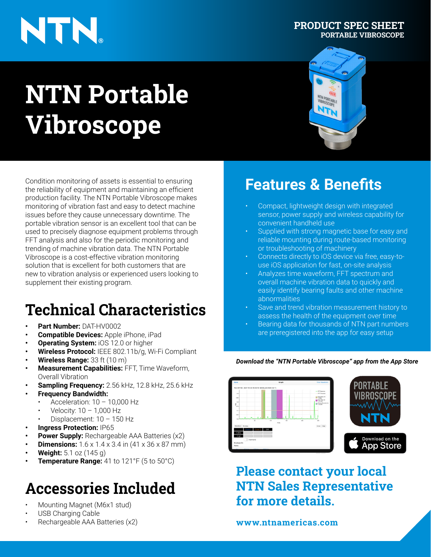# NTN.

# **NTN Portable Vibroscope**



**PRODUCT SPEC SHEET**

**PORTABLE VIBROSCOPE**

Condition monitoring of assets is essential to ensuring the reliability of equipment and maintaining an efficient production facility. The NTN Portable Vibroscope makes monitoring of vibration fast and easy to detect machine issues before they cause unnecessary downtime. The portable vibration sensor is an excellent tool that can be used to precisely diagnose equipment problems through FFT analysis and also for the periodic monitoring and trending of machine vibration data. The NTN Portable Vibroscope is a cost-effective vibration monitoring solution that is excellent for both customers that are new to vibration analysis or experienced users looking to supplement their existing program.

## **Technical Characteristics**

- **• Part Number:** DAT-HV0002
- **• Compatible Devices:** Apple iPhone, iPad
- **• Operating System:** iOS 12.0 or higher
- **• Wireless Protocol:** IEEE 802.11b/g, Wi-Fi Compliant
- **• Wireless Range:** 33 ft (10 m)
- **• Measurement Capabilities:** FFT, Time Waveform, Overall Vibration
- **• Sampling Frequency:** 2.56 kHz, 12.8 kHz, 25.6 kHz
- **• Frequency Bandwidth:**
	- Acceleration:  $10 10,000$  Hz
	- Velocity:  $10 1,000$  Hz
	- Displacement: 10 150 Hz
- **• Ingress Protection:** IP65
- **Power Supply:** Rechargeable AAA Batteries (x2)
- **• Dimensions:** 1.6 x 1.4 x 3.4 in (41 x 36 x 87 mm)
- **• Weight:** 5.1 oz (145 g)
- **Femperature Range:** 41 to 121°F (5 to 50°C)

### **Accessories Included**

- Mounting Magnet (M6x1 stud)
- USB Charging Cable
- Rechargeable AAA Batteries (x2)

### **Features & Benefits**

- Compact, lightweight design with integrated sensor, power supply and wireless capability for convenient handheld use
- Supplied with strong magnetic base for easy and reliable mounting during route-based monitoring or troubleshooting of machinery
- Connects directly to iOS device via free, easy-touse iOS application for fast, on-site analysis
- Analyzes time waveform, FFT spectrum and overall machine vibration data to quickly and easily identify bearing faults and other machine abnormalities
- Save and trend vibration measurement history to assess the health of the equipment over time
- Bearing data for thousands of NTN part numbers are preregistered into the app for easy setup

#### *Download the "NTN Portable Vibroscope" app from the App Store*



**Please contact your local NTN Sales Representative for more details.**

### **www.ntnamericas.com**